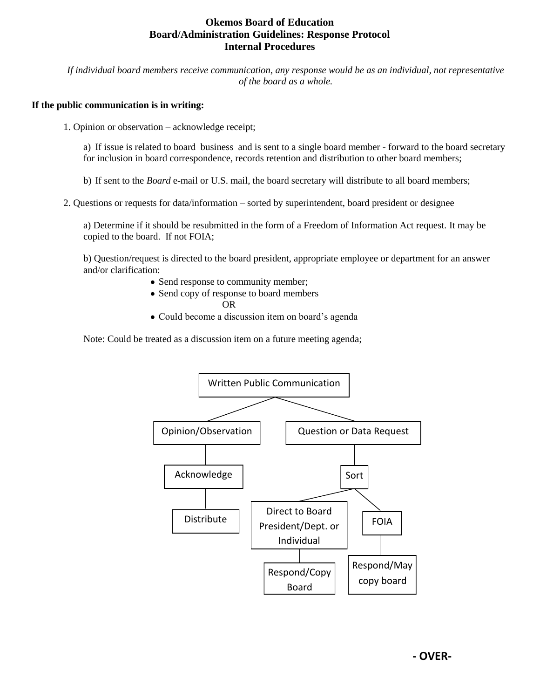## **Okemos Board of Education Board/Administration Guidelines: Response Protocol Internal Procedures**

*If individual board members receive communication, any response would be as an individual, not representative of the board as a whole.* 

## **If the public communication is in writing:**

1. Opinion or observation – acknowledge receipt;

a) If issue is related to board business and is sent to a single board member - forward to the board secretary for inclusion in board correspondence, records retention and distribution to other board members;

b) If sent to the *Board* e-mail or U.S. mail, the board secretary will distribute to all board members;

2. Questions or requests for data/information – sorted by superintendent, board president or designee

a) Determine if it should be resubmitted in the form of a Freedom of Information Act request. It may be copied to the board. If not FOIA;

b) Question/request is directed to the board president, appropriate employee or department for an answer and/or clarification:

- Send response to community member;
- Send copy of response to board members

OR

• Could become a discussion item on board's agenda

Note: Could be treated as a discussion item on a future meeting agenda;